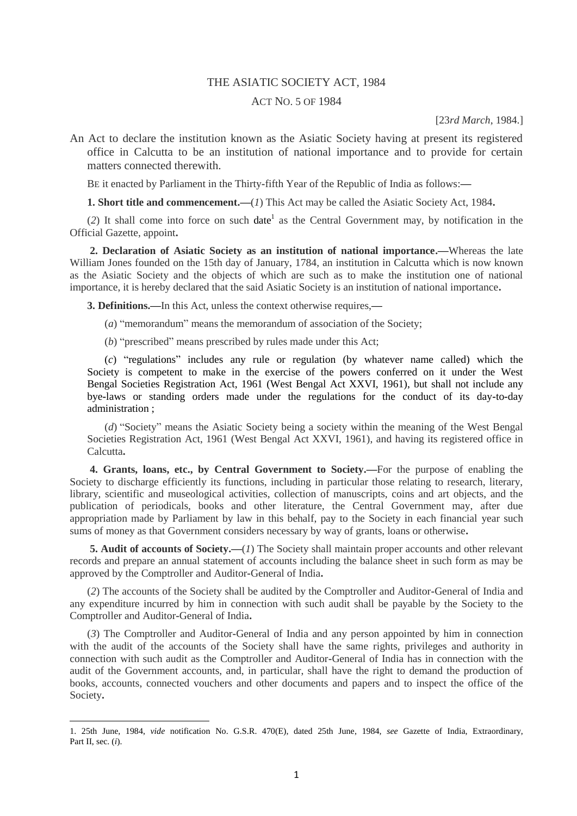## THE ASIATIC SOCIETY ACT, 1984

## ACT NO. 5 OF 1984

[23*rd March*, 1984.]

An Act to declare the institution known as the Asiatic Society having at present its registered office in Calcutta to be an institution of national importance and to provide for certain matters connected therewith.

BE it enacted by Parliament in the Thirty**-**fifth Year of the Republic of India as follows:**—**

**1. Short title and commencement.—**(*1*) This Act may be called the Asiatic Society Act, 1984**.**

 $(2)$  It shall come into force on such date<sup>1</sup> as the Central Government may, by notification in the Official Gazette, appoint**.**

**2. Declaration of Asiatic Society as an institution of national importance.—**Whereas the late William Jones founded on the 15th day of January, 1784, an institution in Calcutta which is now known as the Asiatic Society and the objects of which are such as to make the institution one of national importance, it is hereby declared that the said Asiatic Society is an institution of national importance**.**

**3. Definitions.—**In this Act, unless the context otherwise requires,**—**

- (*a*) "memorandum" means the memorandum of association of the Society;
- (*b*) "prescribed" means prescribed by rules made under this Act;

(*c*) "regulations" includes any rule or regulation (by whatever name called) which the Society is competent to make in the exercise of the powers conferred on it under the West Bengal Societies Registration Act, 1961 (West Bengal Act XXVI, 1961), but shall not include any bye**-**laws or standing orders made under the regulations for the conduct of its day**-**to**-**day administration ;

(*d*) "Society" means the Asiatic Society being a society within the meaning of the West Bengal Societies Registration Act, 1961 (West Bengal Act XXVI, 1961), and having its registered office in Calcutta**.**

**4. Grants, loans, etc., by Central Government to Society.—**For the purpose of enabling the Society to discharge efficiently its functions, including in particular those relating to research, literary, library, scientific and museological activities, collection of manuscripts, coins and art objects, and the publication of periodicals, books and other literature, the Central Government may, after due appropriation made by Parliament by law in this behalf, pay to the Society in each financial year such sums of money as that Government considers necessary by way of grants, loans or otherwise**.**

**5. Audit of accounts of Society.—**(*1*) The Society shall maintain proper accounts and other relevant records and prepare an annual statement of accounts including the balance sheet in such form as may be approved by the Comptroller and Auditor**-**General of India**.**

(*2*) The accounts of the Society shall be audited by the Comptroller and Auditor**-**General of India and any expenditure incurred by him in connection with such audit shall be payable by the Society to the Comptroller and Auditor**-**General of India**.**

(*3*) The Comptroller and Auditor**-**General of India and any person appointed by him in connection with the audit of the accounts of the Society shall have the same rights, privileges and authority in connection with such audit as the Comptroller and Auditor**-**General of India has in connection with the audit of the Government accounts, and, in particular, shall have the right to demand the production of books, accounts, connected vouchers and other documents and papers and to inspect the office of the Society**.**

1

<sup>1. 25</sup>th June, 1984, *vide* notification No. G.S.R. 470(E), dated 25th June, 1984, *see* Gazette of India, Extraordinary, Part II, sec. (*i*).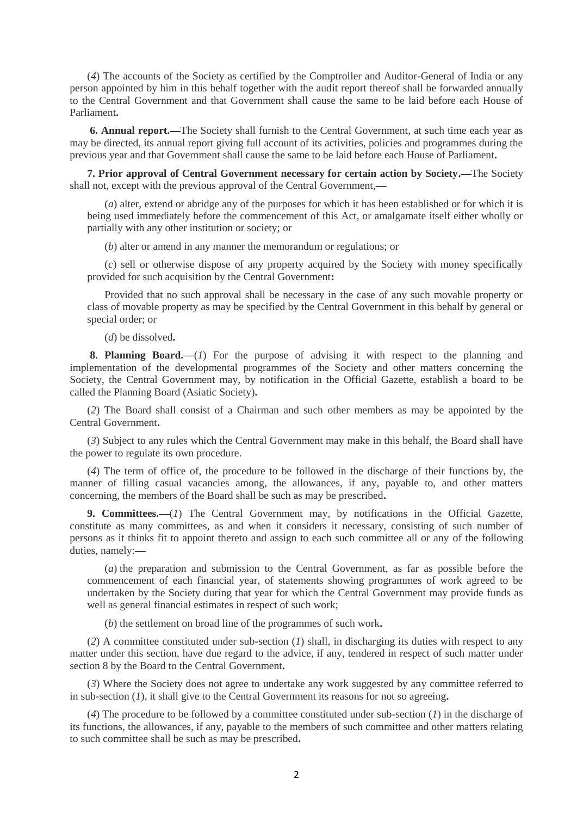(*4*) The accounts of the Society as certified by the Comptroller and Auditor**-**General of India or any person appointed by him in this behalf together with the audit report thereof shall be forwarded annually to the Central Government and that Government shall cause the same to be laid before each House of Parliament**.**

**6. Annual report.—**The Society shall furnish to the Central Government, at such time each year as may be directed, its annual report giving full account of its activities, policies and programmes during the previous year and that Government shall cause the same to be laid before each House of Parliament**.**

**7. Prior approval of Central Government necessary for certain action by Society.—**The Society shall not, except with the previous approval of the Central Government,**—**

(*a*) alter, extend or abridge any of the purposes for which it has been established or for which it is being used immediately before the commencement of this Act, or amalgamate itself either wholly or partially with any other institution or society; or

(*b*) alter or amend in any manner the memorandum or regulations; or

(*c*) sell or otherwise dispose of any property acquired by the Society with money specifically provided for such acquisition by the Central Government**:**

Provided that no such approval shall be necessary in the case of any such movable property or class of movable property as may be specified by the Central Government in this behalf by general or special order; or

(*d*) be dissolved**.**

**8. Planning Board.—**(*1*) For the purpose of advising it with respect to the planning and implementation of the developmental programmes of the Society and other matters concerning the Society, the Central Government may, by notification in the Official Gazette, establish a board to be called the Planning Board (Asiatic Society)**.**

(*2*) The Board shall consist of a Chairman and such other members as may be appointed by the Central Government**.**

(*3*) Subject to any rules which the Central Government may make in this behalf, the Board shall have the power to regulate its own procedure.

(*4*) The term of office of, the procedure to be followed in the discharge of their functions by, the manner of filling casual vacancies among, the allowances, if any, payable to, and other matters concerning, the members of the Board shall be such as may be prescribed**.**

**9. Committees.—**(*1*) The Central Government may, by notifications in the Official Gazette, constitute as many committees, as and when it considers it necessary, consisting of such number of persons as it thinks fit to appoint thereto and assign to each such committee all or any of the following duties, namely:**—**

(*a*) the preparation and submission to the Central Government, as far as possible before the commencement of each financial year, of statements showing programmes of work agreed to be undertaken by the Society during that year for which the Central Government may provide funds as well as general financial estimates in respect of such work;

(*b*) the settlement on broad line of the programmes of such work**.**

(*2*) A committee constituted under sub**-**section (*1*) shall, in discharging its duties with respect to any matter under this section, have due regard to the advice, if any, tendered in respect of such matter under section 8 by the Board to the Central Government**.**

(*3*) Where the Society does not agree to undertake any work suggested by any committee referred to in sub**-**section (*1*), it shall give to the Central Government its reasons for not so agreeing**.**

(*4*) The procedure to be followed by a committee constituted under sub**-**section (*1*) in the discharge of its functions, the allowances, if any, payable to the members of such committee and other matters relating to such committee shall be such as may be prescribed**.**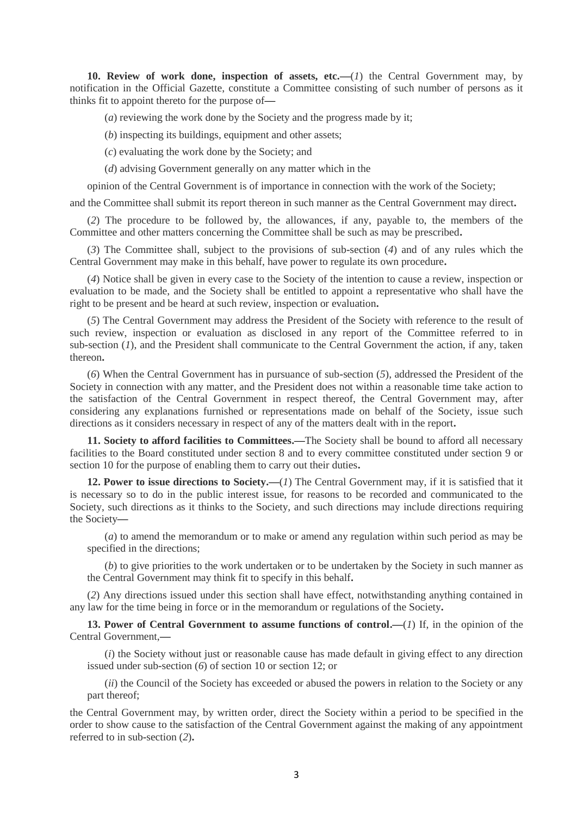**10. Review of work done, inspection of assets, etc.—**(*1*) the Central Government may, by notification in the Official Gazette, constitute a Committee consisting of such number of persons as it thinks fit to appoint thereto for the purpose of**—**

(*a*) reviewing the work done by the Society and the progress made by it;

(*b*) inspecting its buildings, equipment and other assets;

(*c*) evaluating the work done by the Society; and

(*d*) advising Government generally on any matter which in the

opinion of the Central Government is of importance in connection with the work of the Society;

and the Committee shall submit its report thereon in such manner as the Central Government may direct**.**

(*2*) The procedure to be followed by, the allowances, if any, payable to, the members of the Committee and other matters concerning the Committee shall be such as may be prescribed**.**

(*3*) The Committee shall, subject to the provisions of sub**-**section (*4*) and of any rules which the Central Government may make in this behalf, have power to regulate its own procedure**.**

(*4*) Notice shall be given in every case to the Society of the intention to cause a review, inspection or evaluation to be made, and the Society shall be entitled to appoint a representative who shall have the right to be present and be heard at such review, inspection or evaluation**.**

(*5*) The Central Government may address the President of the Society with reference to the result of such review, inspection or evaluation as disclosed in any report of the Committee referred to in sub**-**section (*1*), and the President shall communicate to the Central Government the action, if any, taken thereon**.**

(*6*) When the Central Government has in pursuance of sub**-**section (*5*), addressed the President of the Society in connection with any matter, and the President does not within a reasonable time take action to the satisfaction of the Central Government in respect thereof, the Central Government may, after considering any explanations furnished or representations made on behalf of the Society, issue such directions as it considers necessary in respect of any of the matters dealt with in the report**.**

**11. Society to afford facilities to Committees.—**The Society shall be bound to afford all necessary facilities to the Board constituted under section 8 and to every committee constituted under section 9 or section 10 for the purpose of enabling them to carry out their duties**.**

**12. Power to issue directions to Society.—**(*1*) The Central Government may, if it is satisfied that it is necessary so to do in the public interest issue, for reasons to be recorded and communicated to the Society, such directions as it thinks to the Society, and such directions may include directions requiring the Society**—**

(*a*) to amend the memorandum or to make or amend any regulation within such period as may be specified in the directions;

(*b*) to give priorities to the work undertaken or to be undertaken by the Society in such manner as the Central Government may think fit to specify in this behalf**.**

(*2*) Any directions issued under this section shall have effect, notwithstanding anything contained in any law for the time being in force or in the memorandum or regulations of the Society**.**

**13. Power of Central Government to assume functions of control.—**(*1*) If, in the opinion of the Central Government,**—**

(*i*) the Society without just or reasonable cause has made default in giving effect to any direction issued under sub**-**section (*6*) of section 10 or section 12; or

(*ii*) the Council of the Society has exceeded or abused the powers in relation to the Society or any part thereof;

the Central Government may, by written order, direct the Society within a period to be specified in the order to show cause to the satisfaction of the Central Government against the making of any appointment referred to in sub**-**section (*2*)**.**